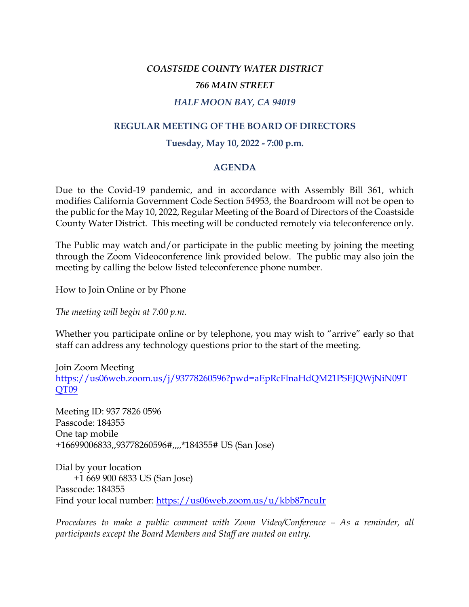### *COASTSIDE COUNTY WATER DISTRICT*

#### *766 MAIN STREET*

### *HALF MOON BAY, CA 94019*

## **REGULAR MEETING OF THE BOARD OF DIRECTORS**

### **Tuesday, May 10, 2022 - 7:00 p.m.**

#### **AGENDA**

Due to the Covid-19 pandemic, and in accordance with Assembly Bill 361, which modifies California Government Code Section 54953, the Boardroom will not be open to the public for the May 10, 2022, Regular Meeting of the Board of Directors of the Coastside County Water District. This meeting will be conducted remotely via teleconference only.

The Public may watch and/or participate in the public meeting by joining the meeting through the Zoom Videoconference link provided below. The public may also join the meeting by calling the below listed teleconference phone number.

How to Join Online or by Phone

*The meeting will begin at 7:00 p.m.*

Whether you participate online or by telephone, you may wish to "arrive" early so that staff can address any technology questions prior to the start of the meeting.

Join Zoom Meeting https://us06web.zoom.us/j/93778260596?pwd=aEpRcFlnaHdQM21PSEJQWjNiN09T QT09

Meeting ID: 937 7826 0596 Passcode: 184355 One tap mobile +16699006833,,93778260596#,,,,\*184355# US (San Jose)

Dial by your location +1 669 900 6833 US (San Jose) Passcode: 184355 Find your local number: https://us06web.zoom.us/u/kbb87ncuIr

*Procedures to make a public comment with Zoom Video/Conference – As a reminder, all participants except the Board Members and Staff are muted on entry.*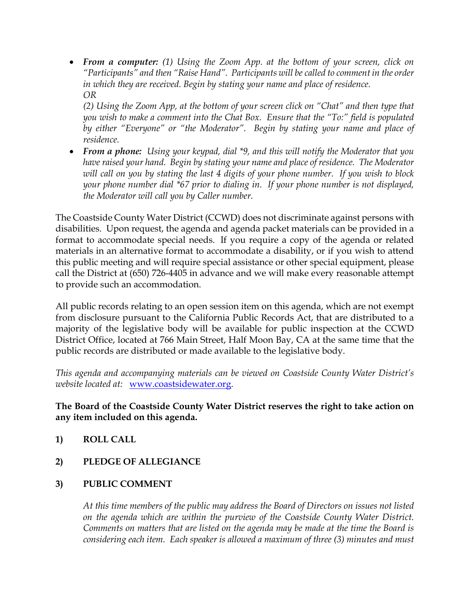• *From a computer: (1) Using the Zoom App. at the bottom of your screen, click on "Participants" and then "Raise Hand". Participants will be called to comment in the order in which they are received. Begin by stating your name and place of residence. OR*

*(2) Using the Zoom App, at the bottom of your screen click on "Chat" and then type that you wish to make a comment into the Chat Box. Ensure that the "To:" field is populated by either "Everyone" or "the Moderator". Begin by stating your name and place of residence.*

• *From a phone: Using your keypad, dial \*9, and this will notify the Moderator that you have raised your hand. Begin by stating your name and place of residence. The Moderator will call on you by stating the last 4 digits of your phone number. If you wish to block your phone number dial \*67 prior to dialing in. If your phone number is not displayed, the Moderator will call you by Caller number.*

The Coastside County Water District (CCWD) does not discriminate against persons with disabilities. Upon request, the agenda and agenda packet materials can be provided in a format to accommodate special needs. If you require a copy of the agenda or related materials in an alternative format to accommodate a disability, or if you wish to attend this public meeting and will require special assistance or other special equipment, please call the District at (650) 726-4405 in advance and we will make every reasonable attempt to provide such an accommodation.

All public records relating to an open session item on this agenda, which are not exempt from disclosure pursuant to the California Public Records Act, that are distributed to a majority of the legislative body will be available for public inspection at the CCWD District Office, located at 766 Main Street, Half Moon Bay, CA at the same time that the public records are distributed or made available to the legislative body.

*This agenda and accompanying materials can be viewed on Coastside County Water District's website located at:* www.coastsidewater.org*.* 

# **The Board of the Coastside County Water District reserves the right to take action on any item included on this agenda.**

- **1) ROLL CALL**
- **2) PLEDGE OF ALLEGIANCE**
- **3) PUBLIC COMMENT**

*At this time members of the public may address the Board of Directors on issues not listed on the agenda which are within the purview of the Coastside County Water District. Comments on matters that are listed on the agenda may be made at the time the Board is considering each item. Each speaker is allowed a maximum of three (3) minutes and must*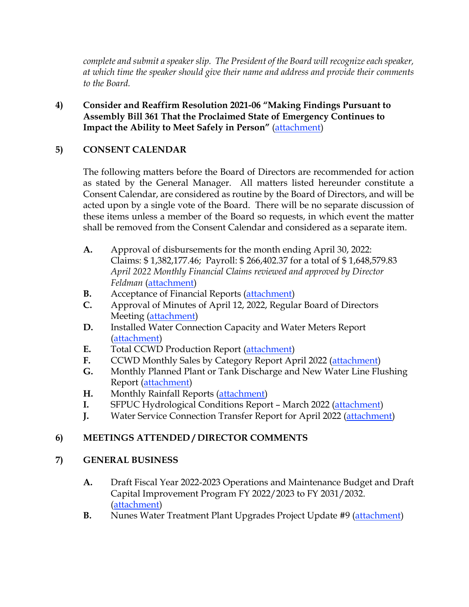*complete and submit a speaker slip. The President of the Board will recognize each speaker, at which time the speaker should give their name and address and provide their comments to the Board.* 

**4) Consider and Reaffirm Resolution 2021-06 "Making Findings Pursuant to Assembly Bill 361 That the Proclaimed State of Emergency Continues to Impact the Ability to Meet Safely in Person"** [\(attachment\)](http://www.coastsidewater.org/agendas/051022/4.pdf)

# **5) CONSENT CALENDAR**

The following matters before the Board of Directors are recommended for action as stated by the General Manager. All matters listed hereunder constitute a Consent Calendar, are considered as routine by the Board of Directors, and will be acted upon by a single vote of the Board. There will be no separate discussion of these items unless a member of the Board so requests, in which event the matter shall be removed from the Consent Calendar and considered as a separate item.

- **A.** Approval of disbursements for the month ending April 30, 2022: Claims: \$ 1,382,177.46; Payroll: \$ 266,402.37 for a total of \$ 1,648,579.83 *April 2022 Monthly Financial Claims reviewed and approved by Director Feldman* [\(attachment\)](http://www.coastsidewater.org/agendas/051022/5A.pdf)
- **B.** Acceptance of Financial Reports [\(attachment\)](http://www.coastsidewater.org/agendas/051022/5B.pdf)
- **C.** Approval of Minutes of April 12, 2022, Regular Board of Directors Meeting [\(attachment\)](http://www.coastsidewater.org/agendas/051022/5C.pdf)
- **D.** Installed Water Connection Capacity and Water Meters Report [\(attachment\)](http://www.coastsidewater.org/agendas/051022/5D.pdf)
- **E.** Total CCWD Production Report [\(attachment\)](http://www.coastsidewater.org/agendas/051022/5E.pdf)
- **F.** CCWD Monthly Sales by Category Report April 2022 [\(attachment\)](http://www.coastsidewater.org/agendas/051022/5F.pdf)
- **G.** Monthly Planned Plant or Tank Discharge and New Water Line Flushing Report [\(attachment\)](http://www.coastsidewater.org/agendas/051022/5G.pdf)
- **H.** Monthly Rainfall Reports [\(attachment\)](http://www.coastsidewater.org/agendas/051022/5H.pdf)
- **I.** SFPUC Hydrological Conditions Report March 2022 [\(attachment\)](http://www.coastsidewater.org/agendas/051022/5I.pdf)
- **J.** Water Service Connection Transfer Report for April 2022 [\(attachment\)](http://www.coastsidewater.org/agendas/051022/5J.pdf)

# **6) MEETINGS ATTENDED / DIRECTOR COMMENTS**

# **7) GENERAL BUSINESS**

- **A.** Draft Fiscal Year 2022-2023 Operations and Maintenance Budget and Draft Capital Improvement Program FY 2022/2023 to FY 2031/2032. [\(attachment\)](http://www.coastsidewater.org/agendas/051022/7A.pdf)
- **B.** Nunes Water Treatment Plant Upgrades Project Update #9 [\(attachment\)](http://www.coastsidewater.org/agendas/051022/7B.pdf)